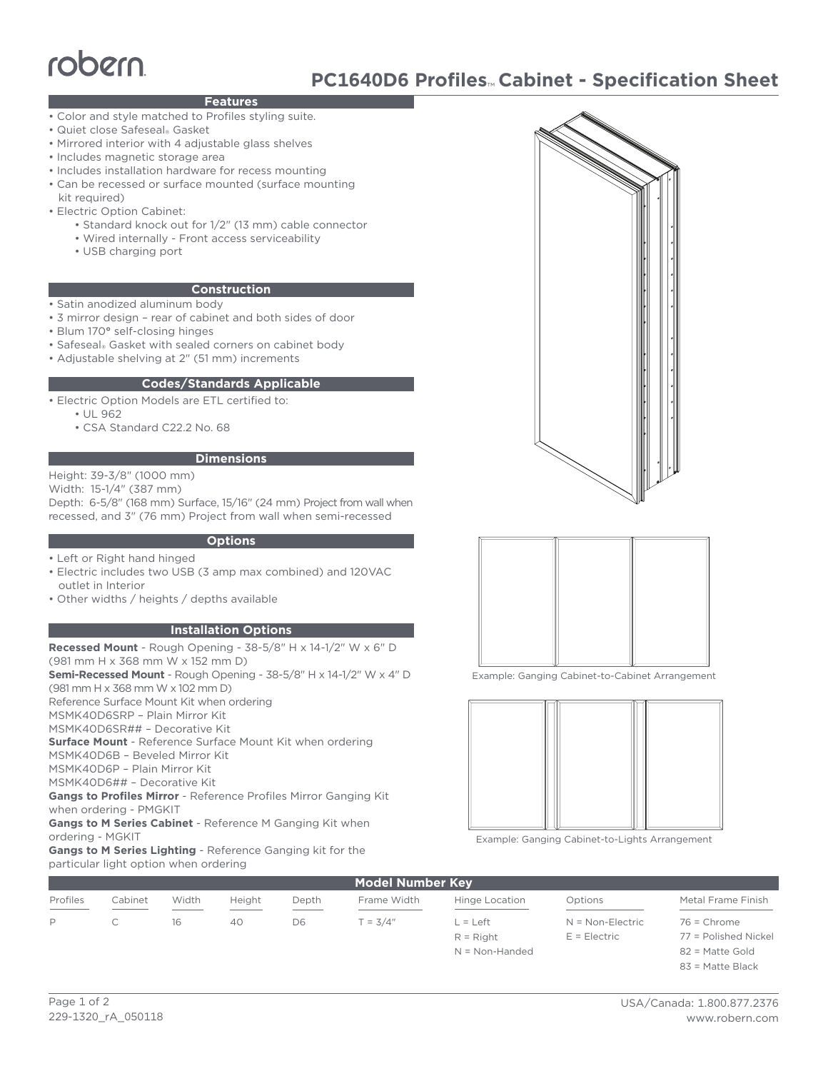# robern

# **PC1640D6 Profiles**™ **Cabinet - Specification Sheet**

## **Features**

- Color and style matched to Profiles styling suite.
- Quiet close Safeseal® Gasket
- Mirrored interior with 4 adjustable glass shelves
- Includes magnetic storage area
- Includes installation hardware for recess mounting
- Can be recessed or surface mounted (surface mounting kit required)
- Electric Option Cabinet:
	- Standard knock out for 1/2" (13 mm) cable connector
	- Wired internally Front access serviceability
	- USB charging port

#### **Construction**

- Satin anodized aluminum body
- 3 mirror design rear of cabinet and both sides of door
- Blum 170**°** self-closing hinges
- Safeseal® Gasket with sealed corners on cabinet body
- Adjustable shelving at 2" (51 mm) increments

#### **Codes/Standards Applicable**

• Electric Option Models are ETL certified to:

- UL 962
- CSA Standard C22.2 No. 68

#### **Dimensions**

Height: 39-3/8" (1000 mm)

Width: 15-1/4" (387 mm)

Depth: 6-5/8" (168 mm) Surface, 15/16" (24 mm) Project from wall when recessed, and 3" (76 mm) Project from wall when semi-recessed

#### **Options**

- Left or Right hand hinged
- Electric includes two USB (3 amp max combined) and 120VAC outlet in Interior
- Other widths / heights / depths available

## **Installation Options**

**Recessed Mount** - Rough Opening - 38-5/8" H x 14-1/2" W x 6" D (981 mm H x 368 mm W x 152 mm D) **Semi-Recessed Mount** - Rough Opening - 38-5/8" H x 14-1/2" W x 4" D (981 mm H x 368 mm W x 102 mm D) Reference Surface Mount Kit when ordering MSMK40D6SRP – Plain Mirror Kit MSMK40D6SR## – Decorative Kit **Surface Mount** - Reference Surface Mount Kit when ordering MSMK40D6B – Beveled Mirror Kit MSMK40D6P – Plain Mirror Kit MSMK40D6## – Decorative Kit **Gangs to Profiles Mirror** - Reference Profiles Mirror Ganging Kit when ordering - PMGKIT

**Gangs to M Series Cabinet** - Reference M Ganging Kit when ordering - MGKIT

**Gangs to M Series Lighting** - Reference Ganging kit for the particular light option when ordering





Example: Ganging Cabinet-to-Cabinet Arrangement



Example: Ganging Cabinet-to-Lights Arrangement

| Model Number Key                                                                                                                                                                                                                                                                                                                                                                                                                                                                       |         |       |        |       |             |                |                    |                      |
|----------------------------------------------------------------------------------------------------------------------------------------------------------------------------------------------------------------------------------------------------------------------------------------------------------------------------------------------------------------------------------------------------------------------------------------------------------------------------------------|---------|-------|--------|-------|-------------|----------------|--------------------|----------------------|
| Profiles<br>$\frac{1}{2} \left( \frac{1}{2} \right) \left( \frac{1}{2} \right) \left( \frac{1}{2} \right) \left( \frac{1}{2} \right) \left( \frac{1}{2} \right) \left( \frac{1}{2} \right) \left( \frac{1}{2} \right) \left( \frac{1}{2} \right) \left( \frac{1}{2} \right) \left( \frac{1}{2} \right) \left( \frac{1}{2} \right) \left( \frac{1}{2} \right) \left( \frac{1}{2} \right) \left( \frac{1}{2} \right) \left( \frac{1}{2} \right) \left( \frac{1}{2} \right) \left( \frac$ | Cabinet | Width | Height | Depth | Frame Width | Hinge Location | Options            | Metal Frame Finish   |
| P                                                                                                                                                                                                                                                                                                                                                                                                                                                                                      |         | 16    | 40     | D6    | $T = 3/4"$  | _ = Left       | $N = Non-Electric$ | $76$ = Chrome        |
|                                                                                                                                                                                                                                                                                                                                                                                                                                                                                        |         |       |        |       |             | $R = Right$    | $E = E$ lectric    | 77 = Polished Nickel |

N = Non-Handed

77 = Polished Nickel 82 = Matte Gold 83 = Matte Black